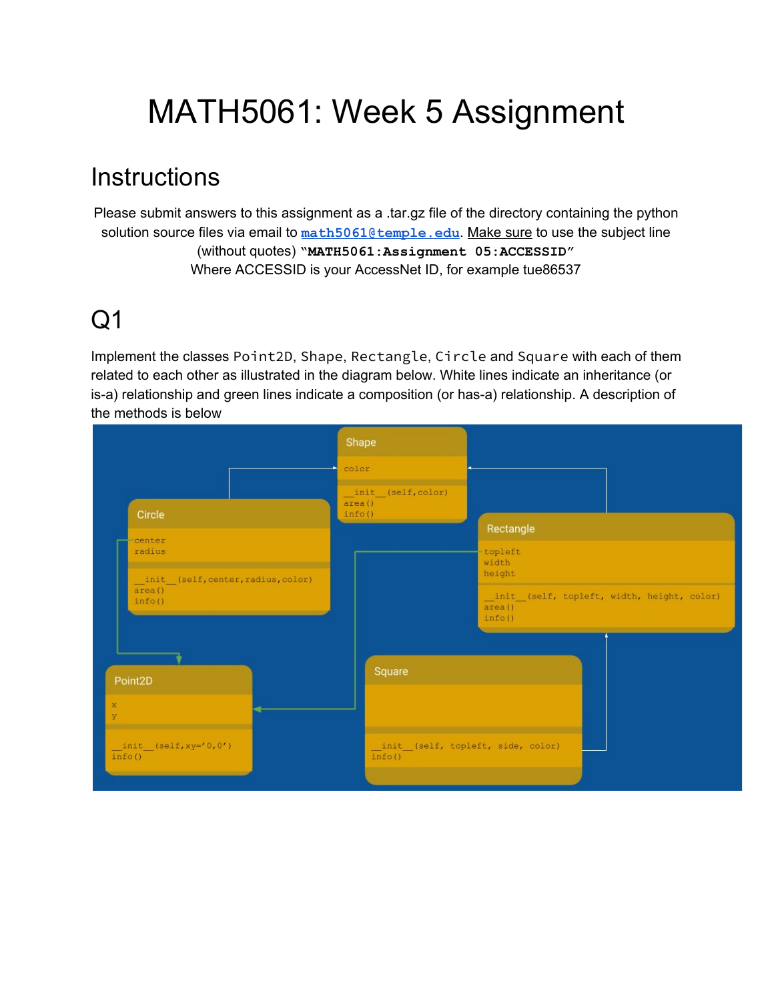# MATH5061: Week 5 Assignment

### **Instructions**

Please submit answers to this assignment as a .tar.gz file of the directory containing the python solution source files via email to [math5061@temple.edu](mailto:math5061@temple.edu). Make sure to use the subject line (without quotes) **"MATH5061:Assignment 05:ACCESSID"** Where ACCESSID is your AccessNet ID, for example tue86537

## $O<sub>1</sub>$

Implement the classes Point2D, Shape, Rectangle, Circle and Square with each of them related to each other as illustrated in the diagram below. White lines indicate an inheritance (or is-a) relationship and green lines indicate a composition (or has-a) relationship. A description of the methods is below

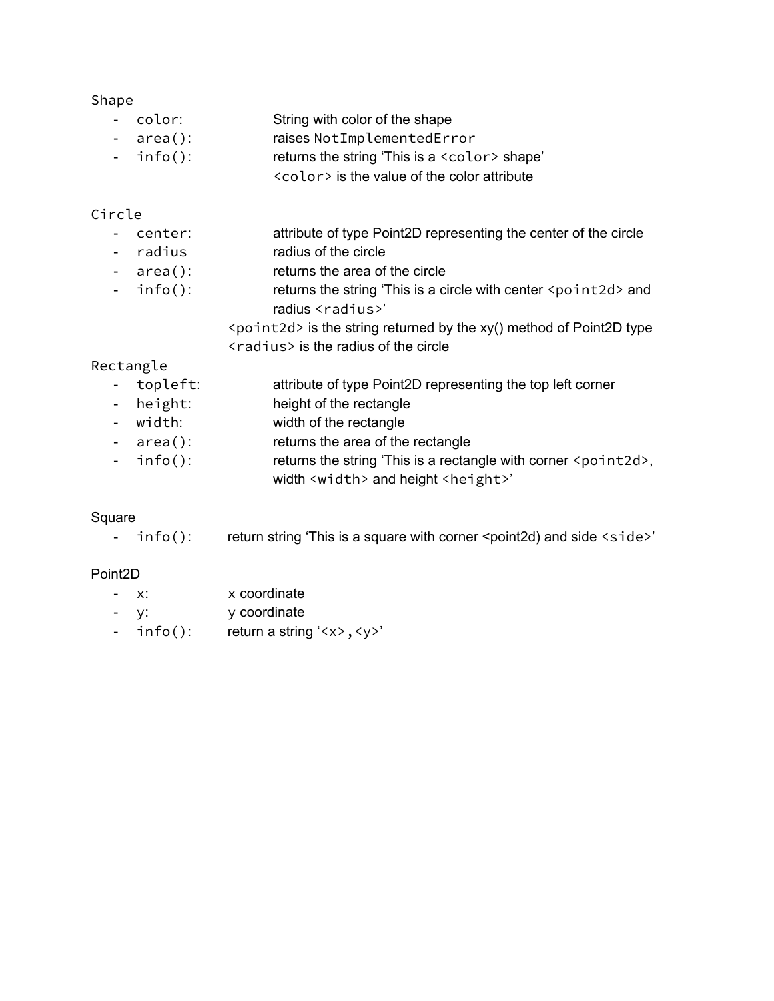#### Shape

| - color:     | String with color of the shape                       |
|--------------|------------------------------------------------------|
| $-$ area():  | raises NotImplementedError                           |
| - $info()$ : | returns the string 'This is a <color> shape'</color> |
|              | <color> is the value of the color attribute</color>  |

#### Circle

- center: attribute of type Point2D representing the center of the circle
- radius radius of the circle
- area(): returns the area of the circle
- info(): returns the string 'This is a circle with center <point2d> and radius <radius>'

<point2d> is the string returned by the xy() method of Point2D type <radius> is the radius of the circle

#### Rectangle

- topleft: attribute of type Point2D representing the top left corner
- height: height of the rectangle
- width: width of the rectangle
- area(): returns the area of the rectangle
- info(): returns the string 'This is a rectangle with corner <point2d>, width <width> and height <height>'

#### Square

- info(): return string 'This is a square with corner <point2d) and side <side>'

#### Point2D

- x: x coordinate
- y: y coordinate
- info(): return a string '<x>, <y>'